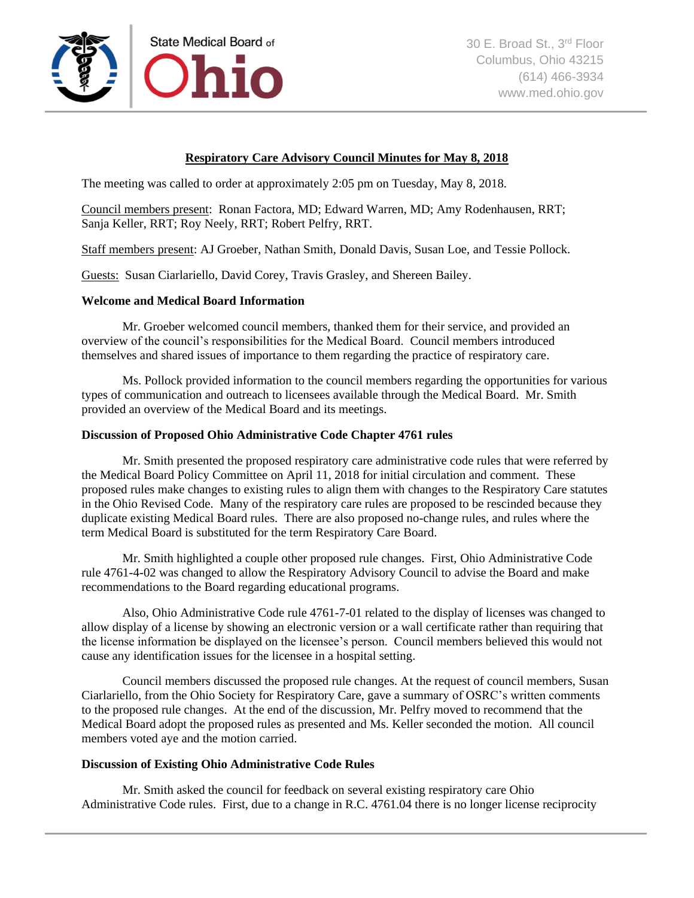

## **Respiratory Care Advisory Council Minutes for May 8, 2018**

The meeting was called to order at approximately 2:05 pm on Tuesday, May 8, 2018.

Council members present: Ronan Factora, MD; Edward Warren, MD; Amy Rodenhausen, RRT; Sanja Keller, RRT; Roy Neely, RRT; Robert Pelfry, RRT.

Staff members present: AJ Groeber, Nathan Smith, Donald Davis, Susan Loe, and Tessie Pollock.

Guests: Susan Ciarlariello, David Corey, Travis Grasley, and Shereen Bailey.

## **Welcome and Medical Board Information**

Mr. Groeber welcomed council members, thanked them for their service, and provided an overview of the council's responsibilities for the Medical Board. Council members introduced themselves and shared issues of importance to them regarding the practice of respiratory care.

Ms. Pollock provided information to the council members regarding the opportunities for various types of communication and outreach to licensees available through the Medical Board. Mr. Smith provided an overview of the Medical Board and its meetings.

### **Discussion of Proposed Ohio Administrative Code Chapter 4761 rules**

Mr. Smith presented the proposed respiratory care administrative code rules that were referred by the Medical Board Policy Committee on April 11, 2018 for initial circulation and comment. These proposed rules make changes to existing rules to align them with changes to the Respiratory Care statutes in the Ohio Revised Code. Many of the respiratory care rules are proposed to be rescinded because they duplicate existing Medical Board rules. There are also proposed no-change rules, and rules where the term Medical Board is substituted for the term Respiratory Care Board.

Mr. Smith highlighted a couple other proposed rule changes. First, Ohio Administrative Code rule 4761-4-02 was changed to allow the Respiratory Advisory Council to advise the Board and make recommendations to the Board regarding educational programs.

Also, Ohio Administrative Code rule 4761-7-01 related to the display of licenses was changed to allow display of a license by showing an electronic version or a wall certificate rather than requiring that the license information be displayed on the licensee's person. Council members believed this would not cause any identification issues for the licensee in a hospital setting.

Council members discussed the proposed rule changes. At the request of council members, Susan Ciarlariello, from the Ohio Society for Respiratory Care, gave a summary of OSRC's written comments to the proposed rule changes. At the end of the discussion, Mr. Pelfry moved to recommend that the Medical Board adopt the proposed rules as presented and Ms. Keller seconded the motion. All council members voted aye and the motion carried.

# **Discussion of Existing Ohio Administrative Code Rules**

Mr. Smith asked the council for feedback on several existing respiratory care Ohio Administrative Code rules. First, due to a change in R.C. 4761.04 there is no longer license reciprocity